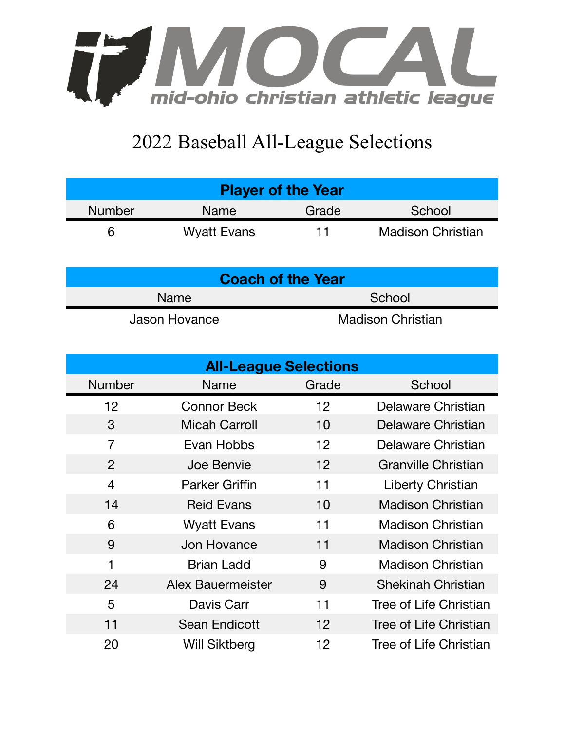

## 2022 Baseball All-League Selections

| <b>Player of the Year</b> |                    |       |                          |  |  |
|---------------------------|--------------------|-------|--------------------------|--|--|
| <b>Number</b>             | Name               | Grade | School                   |  |  |
|                           | <b>Wyatt Evans</b> | 11    | <b>Madison Christian</b> |  |  |

| <b>Coach of the Year</b> |                          |  |  |  |
|--------------------------|--------------------------|--|--|--|
| Name                     | School                   |  |  |  |
| Jason Hovance            | <b>Madison Christian</b> |  |  |  |

| <b>All-League Selections</b> |                          |       |                            |  |  |  |
|------------------------------|--------------------------|-------|----------------------------|--|--|--|
| <b>Number</b>                | <b>Name</b>              | Grade | School                     |  |  |  |
| 12                           | <b>Connor Beck</b>       | 12    | Delaware Christian         |  |  |  |
| 3                            | <b>Micah Carroll</b>     | 10    | Delaware Christian         |  |  |  |
| $\overline{7}$               | Evan Hobbs               | 12    | Delaware Christian         |  |  |  |
| 2                            | Joe Benvie               | 12    | <b>Granville Christian</b> |  |  |  |
| $\overline{4}$               | <b>Parker Griffin</b>    | 11    | Liberty Christian          |  |  |  |
| 14                           | <b>Reid Evans</b>        | 10    | <b>Madison Christian</b>   |  |  |  |
| 6                            | <b>Wyatt Evans</b>       | 11    | <b>Madison Christian</b>   |  |  |  |
| 9                            | Jon Hovance              | 11    | <b>Madison Christian</b>   |  |  |  |
| $\mathbf{1}$                 | <b>Brian Ladd</b>        | 9     | <b>Madison Christian</b>   |  |  |  |
| 24                           | <b>Alex Bauermeister</b> | 9     | <b>Shekinah Christian</b>  |  |  |  |
| 5                            | Davis Carr               | 11    | Tree of Life Christian     |  |  |  |
| 11                           | <b>Sean Endicott</b>     | 12    | Tree of Life Christian     |  |  |  |
| 20                           | <b>Will Siktberg</b>     | 12    | Tree of Life Christian     |  |  |  |